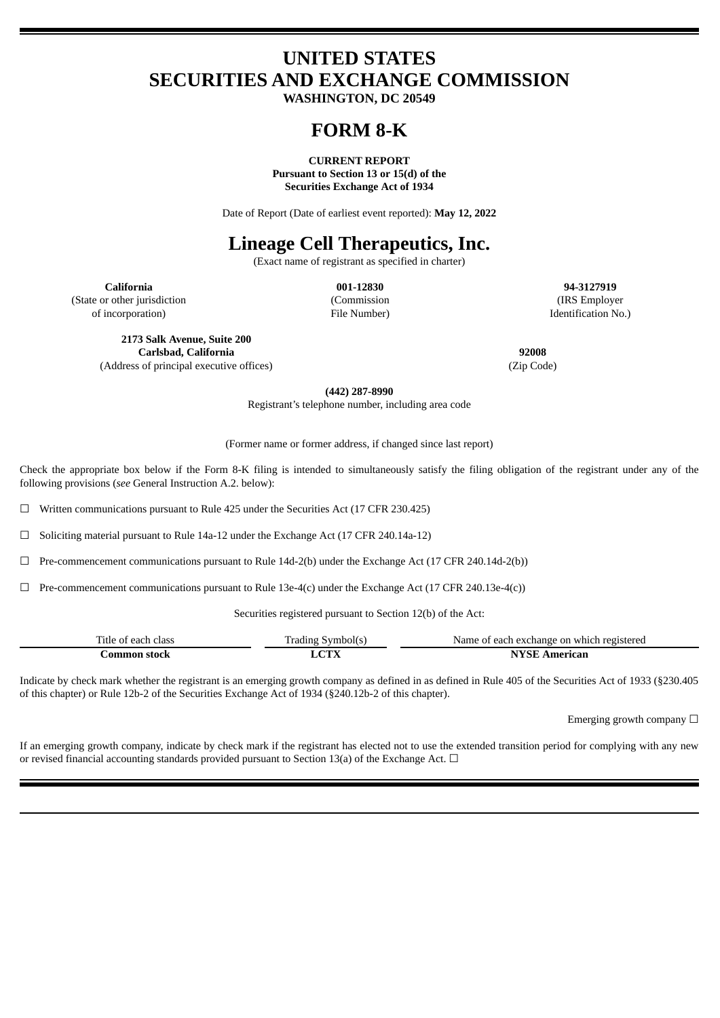# **UNITED STATES SECURITIES AND EXCHANGE COMMISSION**

**WASHINGTON, DC 20549**

# **FORM 8-K**

**CURRENT REPORT**

**Pursuant to Section 13 or 15(d) of the Securities Exchange Act of 1934**

Date of Report (Date of earliest event reported): **May 12, 2022**

# **Lineage Cell Therapeutics, Inc.**

(Exact name of registrant as specified in charter)

(State or other jurisdiction

of incorporation)

(Commission File Number)

**California 001-12830 94-3127919** (IRS Employer Identification No.)

**2173 Salk Avenue, Suite 200 Carlsbad, California 92008** (Address of principal executive offices) (Zip Code)

**(442) 287-8990**

Registrant's telephone number, including area code

(Former name or former address, if changed since last report)

Check the appropriate box below if the Form 8-K filing is intended to simultaneously satisfy the filing obligation of the registrant under any of the following provisions (*see* General Instruction A.2. below):

☐ Written communications pursuant to Rule 425 under the Securities Act (17 CFR 230.425)

☐ Soliciting material pursuant to Rule 14a-12 under the Exchange Act (17 CFR 240.14a-12)

☐ Pre-commencement communications pursuant to Rule 14d-2(b) under the Exchange Act (17 CFR 240.14d-2(b))

 $\Box$  Pre-commencement communications pursuant to Rule 13e-4(c) under the Exchange Act (17 CFR 240.13e-4(c))

Securities registered pursuant to Section 12(b) of the Act:

| company of<br>l'itle<br>class<br>eac<br>വ | . radıng<br>$\sim$ vm | registerec<br>exchange on<br>Name.<br>which<br>eacl<br>н |
|-------------------------------------------|-----------------------|----------------------------------------------------------|
| stock                                     | oms:                  | erican                                                   |
| ommor                                     | L Z                   |                                                          |
| - - - -                                   |                       |                                                          |

Indicate by check mark whether the registrant is an emerging growth company as defined in as defined in Rule 405 of the Securities Act of 1933 (§230.405 of this chapter) or Rule 12b-2 of the Securities Exchange Act of 1934 (§240.12b-2 of this chapter).

Emerging growth company  $\Box$ 

If an emerging growth company, indicate by check mark if the registrant has elected not to use the extended transition period for complying with any new or revised financial accounting standards provided pursuant to Section 13(a) of the Exchange Act.  $\Box$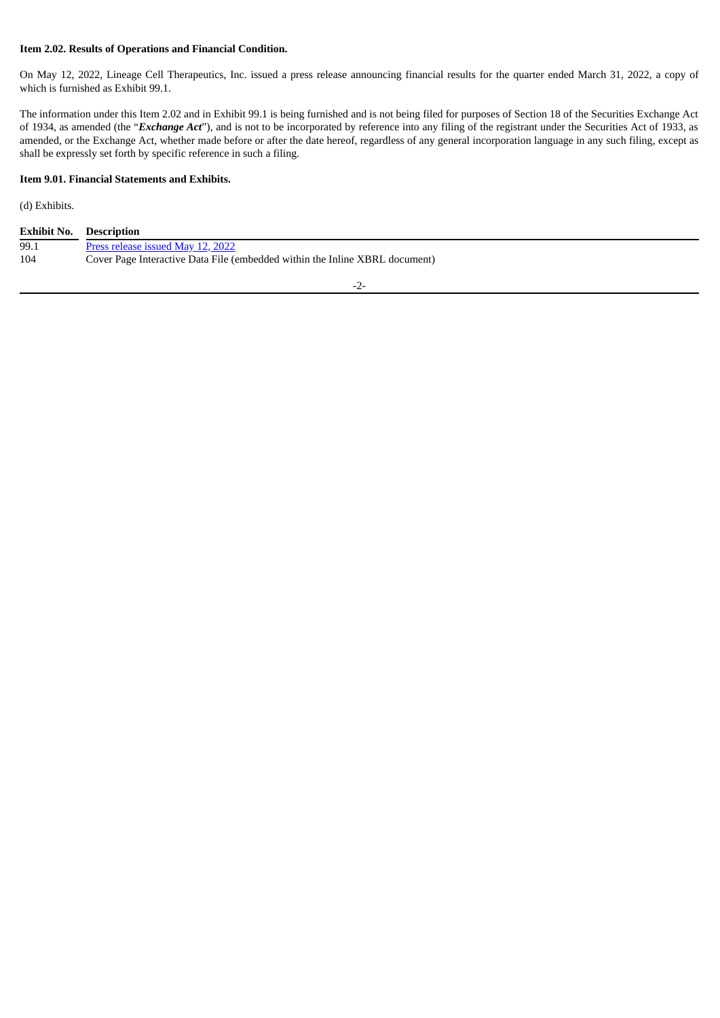# **Item 2.02. Results of Operations and Financial Condition.**

On May 12, 2022, Lineage Cell Therapeutics, Inc. issued a press release announcing financial results for the quarter ended March 31, 2022, a copy of which is furnished as Exhibit 99.1.

The information under this Item 2.02 and in Exhibit 99.1 is being furnished and is not being filed for purposes of Section 18 of the Securities Exchange Act of 1934, as amended (the "*Exchange Act*"), and is not to be incorporated by reference into any filing of the registrant under the Securities Act of 1933, as amended, or the Exchange Act, whether made before or after the date hereof, regardless of any general incorporation language in any such filing, except as shall be expressly set forth by specific reference in such a filing.

#### **Item 9.01. Financial Statements and Exhibits.**

(d) Exhibits.

| <b>Exhibit No. Description</b> |                                                                             |
|--------------------------------|-----------------------------------------------------------------------------|
| 99.1                           | Press release issued May 12, 2022                                           |
| 104                            | Cover Page Interactive Data File (embedded within the Inline XBRL document) |

-2-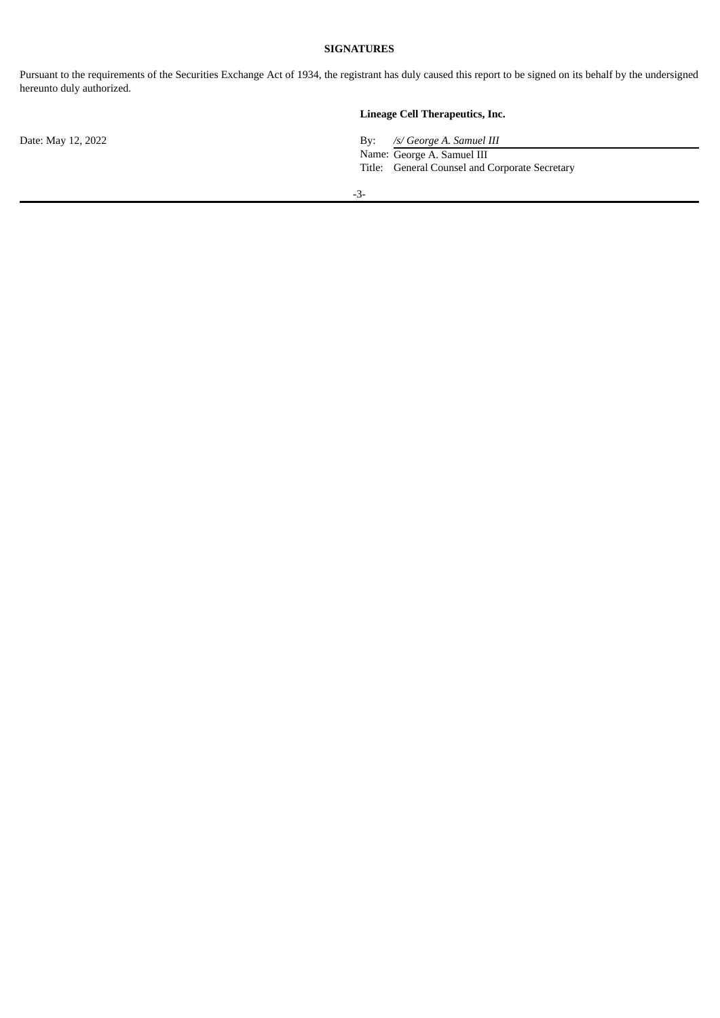# **SIGNATURES**

Pursuant to the requirements of the Securities Exchange Act of 1934, the registrant has duly caused this report to be signed on its behalf by the undersigned hereunto duly authorized.

# **Lineage Cell Therapeutics, Inc.**

Date: May 12, 2022 By: */s/ George A. Samuel III* Name: George A. Samuel III Title: General Counsel and Corporate Secretary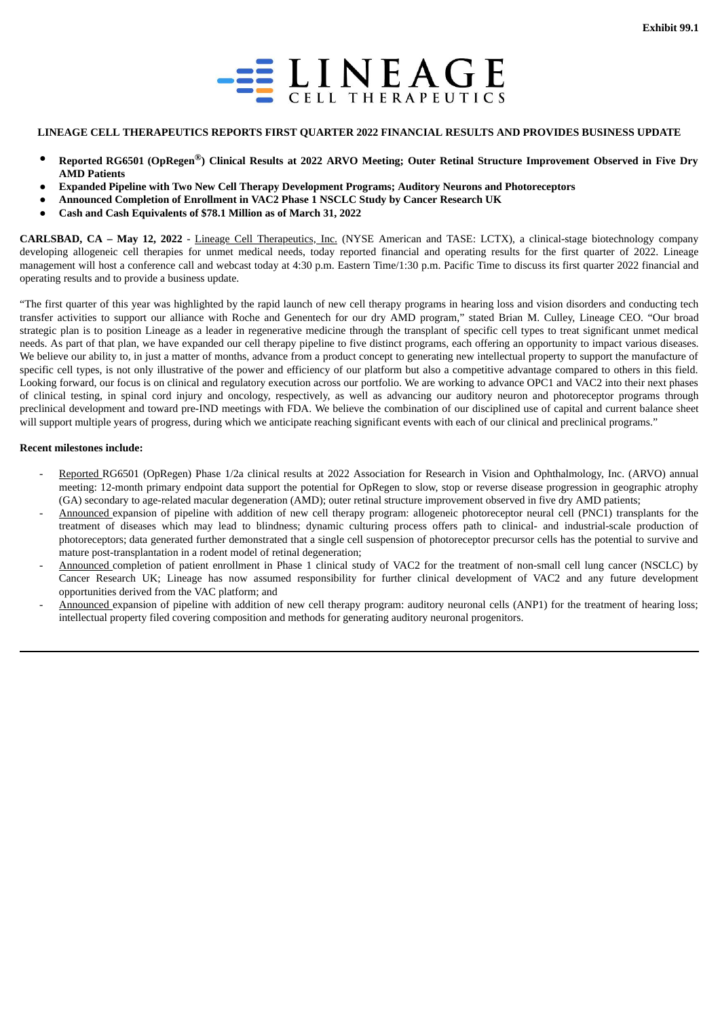

#### <span id="page-3-0"></span>**LINEAGE CELL THERAPEUTICS REPORTS FIRST QUARTER 2022 FINANCIAL RESULTS AND PROVIDES BUSINESS UPDATE**

- Reported RG6501 (OpRegen®) Clinical Results at 2022 ARVO Meeting: Outer Retinal Structure Improvement Observed in Five Drv **AMD Patients**
- **Expanded Pipeline with Two New Cell Therapy Development Programs; Auditory Neurons and Photoreceptors**
- **Announced Completion of Enrollment in VAC2 Phase 1 NSCLC Study by Cancer Research UK**
- **Cash and Cash Equivalents of \$78.1 Million as of March 31, 2022**

**CARLSBAD, CA – May 12, 2022** - Lineage Cell Therapeutics, Inc. (NYSE American and TASE: LCTX), a clinical-stage biotechnology company developing allogeneic cell therapies for unmet medical needs, today reported financial and operating results for the first quarter of 2022. Lineage management will host a conference call and webcast today at 4:30 p.m. Eastern Time/1:30 p.m. Pacific Time to discuss its first quarter 2022 financial and operating results and to provide a business update.

"The first quarter of this year was highlighted by the rapid launch of new cell therapy programs in hearing loss and vision disorders and conducting tech transfer activities to support our alliance with Roche and Genentech for our dry AMD program," stated Brian M. Culley, Lineage CEO. "Our broad strategic plan is to position Lineage as a leader in regenerative medicine through the transplant of specific cell types to treat significant unmet medical needs. As part of that plan, we have expanded our cell therapy pipeline to five distinct programs, each offering an opportunity to impact various diseases. We believe our ability to, in just a matter of months, advance from a product concept to generating new intellectual property to support the manufacture of specific cell types, is not only illustrative of the power and efficiency of our platform but also a competitive advantage compared to others in this field. Looking forward, our focus is on clinical and regulatory execution across our portfolio. We are working to advance OPC1 and VAC2 into their next phases of clinical testing, in spinal cord injury and oncology, respectively, as well as advancing our auditory neuron and photoreceptor programs through preclinical development and toward pre-IND meetings with FDA. We believe the combination of our disciplined use of capital and current balance sheet will support multiple years of progress, during which we anticipate reaching significant events with each of our clinical and preclinical programs."

#### **Recent milestones include:**

- Reported RG6501 (OpRegen) Phase 1/2a clinical results at 2022 Association for Research in Vision and Ophthalmology, Inc. (ARVO) annual meeting: 12-month primary endpoint data support the potential for OpRegen to slow, stop or reverse disease progression in geographic atrophy (GA) secondary to age-related macular degeneration (AMD); outer retinal structure improvement observed in five dry AMD patients;
- Announced expansion of pipeline with addition of new cell therapy program: allogeneic photoreceptor neural cell (PNC1) transplants for the treatment of diseases which may lead to blindness; dynamic culturing process offers path to clinical- and industrial-scale production of photoreceptors; data generated further demonstrated that a single cell suspension of photoreceptor precursor cells has the potential to survive and mature post-transplantation in a rodent model of retinal degeneration;
- Announced completion of patient enrollment in Phase 1 clinical study of VAC2 for the treatment of non-small cell lung cancer (NSCLC) by Cancer Research UK; Lineage has now assumed responsibility for further clinical development of VAC2 and any future development opportunities derived from the VAC platform; and
- Announced expansion of pipeline with addition of new cell therapy program: auditory neuronal cells (ANP1) for the treatment of hearing loss; intellectual property filed covering composition and methods for generating auditory neuronal progenitors.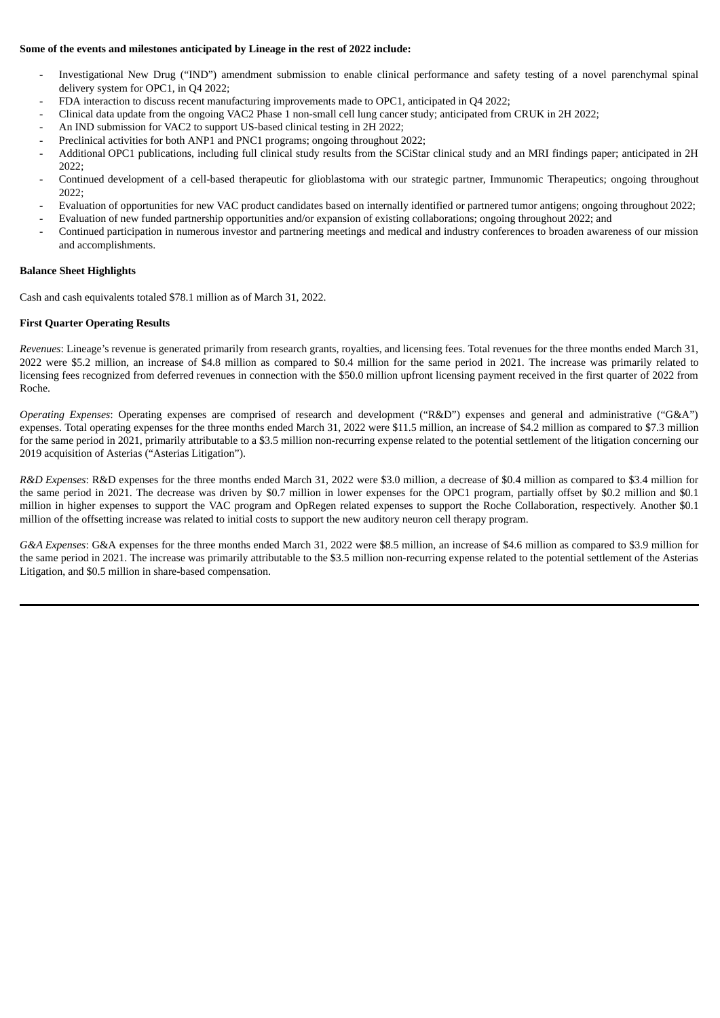# **Some of the events and milestones anticipated by Lineage in the rest of 2022 include:**

- Investigational New Drug ("IND") amendment submission to enable clinical performance and safety testing of a novel parenchymal spinal delivery system for OPC1, in Q4 2022;
- FDA interaction to discuss recent manufacturing improvements made to OPC1, anticipated in Q4 2022;
- Clinical data update from the ongoing VAC2 Phase 1 non-small cell lung cancer study; anticipated from CRUK in 2H 2022;
- An IND submission for VAC2 to support US-based clinical testing in 2H 2022;
- Preclinical activities for both ANP1 and PNC1 programs; ongoing throughout 2022;
- Additional OPC1 publications, including full clinical study results from the SCiStar clinical study and an MRI findings paper; anticipated in 2H 2022;
- Continued development of a cell-based therapeutic for glioblastoma with our strategic partner, Immunomic Therapeutics; ongoing throughout 2022;
- Evaluation of opportunities for new VAC product candidates based on internally identified or partnered tumor antigens; ongoing throughout 2022;
- Evaluation of new funded partnership opportunities and/or expansion of existing collaborations; ongoing throughout 2022; and
- Continued participation in numerous investor and partnering meetings and medical and industry conferences to broaden awareness of our mission and accomplishments.

#### **Balance Sheet Highlights**

Cash and cash equivalents totaled \$78.1 million as of March 31, 2022.

#### **First Quarter Operating Results**

*Revenues*: Lineage's revenue is generated primarily from research grants, royalties, and licensing fees. Total revenues for the three months ended March 31, 2022 were \$5.2 million, an increase of \$4.8 million as compared to \$0.4 million for the same period in 2021. The increase was primarily related to licensing fees recognized from deferred revenues in connection with the \$50.0 million upfront licensing payment received in the first quarter of 2022 from Roche.

*Operating Expenses*: Operating expenses are comprised of research and development ("R&D") expenses and general and administrative ("G&A") expenses. Total operating expenses for the three months ended March 31, 2022 were \$11.5 million, an increase of \$4.2 million as compared to \$7.3 million for the same period in 2021, primarily attributable to a \$3.5 million non-recurring expense related to the potential settlement of the litigation concerning our 2019 acquisition of Asterias ("Asterias Litigation").

*R&D Expenses*: R&D expenses for the three months ended March 31, 2022 were \$3.0 million, a decrease of \$0.4 million as compared to \$3.4 million for the same period in 2021. The decrease was driven by \$0.7 million in lower expenses for the OPC1 program, partially offset by \$0.2 million and \$0.1 million in higher expenses to support the VAC program and OpRegen related expenses to support the Roche Collaboration, respectively. Another \$0.1 million of the offsetting increase was related to initial costs to support the new auditory neuron cell therapy program.

*G&A Expenses*: G&A expenses for the three months ended March 31, 2022 were \$8.5 million, an increase of \$4.6 million as compared to \$3.9 million for the same period in 2021. The increase was primarily attributable to the \$3.5 million non-recurring expense related to the potential settlement of the Asterias Litigation, and \$0.5 million in share-based compensation.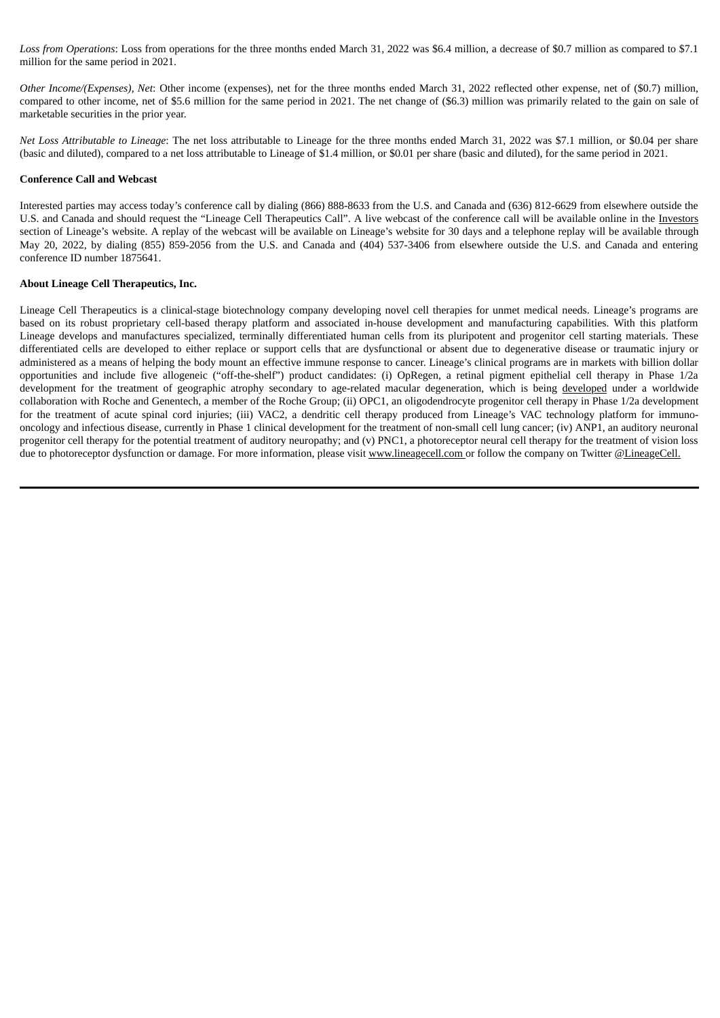*Loss from Operations*: Loss from operations for the three months ended March 31, 2022 was \$6.4 million, a decrease of \$0.7 million as compared to \$7.1 million for the same period in 2021.

*Other Income/(Expenses), Net*: Other income (expenses), net for the three months ended March 31, 2022 reflected other expense, net of (\$0.7) million, compared to other income, net of \$5.6 million for the same period in 2021. The net change of (\$6.3) million was primarily related to the gain on sale of marketable securities in the prior year.

*Net Loss Attributable to Lineage*: The net loss attributable to Lineage for the three months ended March 31, 2022 was \$7.1 million, or \$0.04 per share (basic and diluted), compared to a net loss attributable to Lineage of \$1.4 million, or \$0.01 per share (basic and diluted), for the same period in 2021.

#### **Conference Call and Webcast**

Interested parties may access today's conference call by dialing (866) 888-8633 from the U.S. and Canada and (636) 812-6629 from elsewhere outside the U.S. and Canada and should request the "Lineage Cell Therapeutics Call". A live webcast of the conference call will be available online in the Investors section of Lineage's website. A replay of the webcast will be available on Lineage's website for 30 days and a telephone replay will be available through May 20, 2022, by dialing (855) 859-2056 from the U.S. and Canada and (404) 537-3406 from elsewhere outside the U.S. and Canada and entering conference ID number 1875641.

#### **About Lineage Cell Therapeutics, Inc.**

Lineage Cell Therapeutics is a clinical-stage biotechnology company developing novel cell therapies for unmet medical needs. Lineage's programs are based on its robust proprietary cell-based therapy platform and associated in-house development and manufacturing capabilities. With this platform Lineage develops and manufactures specialized, terminally differentiated human cells from its pluripotent and progenitor cell starting materials. These differentiated cells are developed to either replace or support cells that are dysfunctional or absent due to degenerative disease or traumatic injury or administered as a means of helping the body mount an effective immune response to cancer. Lineage's clinical programs are in markets with billion dollar opportunities and include five allogeneic ("off-the-shelf") product candidates: (i) OpRegen, a retinal pigment epithelial cell therapy in Phase 1/2a development for the treatment of geographic atrophy secondary to age-related macular degeneration, which is being developed under a worldwide collaboration with Roche and Genentech, a member of the Roche Group; (ii) OPC1, an oligodendrocyte progenitor cell therapy in Phase 1/2a development for the treatment of acute spinal cord injuries; (iii) VAC2, a dendritic cell therapy produced from Lineage's VAC technology platform for immunooncology and infectious disease, currently in Phase 1 clinical development for the treatment of non-small cell lung cancer; (iv) ANP1, an auditory neuronal progenitor cell therapy for the potential treatment of auditory neuropathy; and (v) PNC1, a photoreceptor neural cell therapy for the treatment of vision loss due to photoreceptor dysfunction or damage. For more information, please visit www.lineagecell.com or follow the company on Twitter @LineageCell.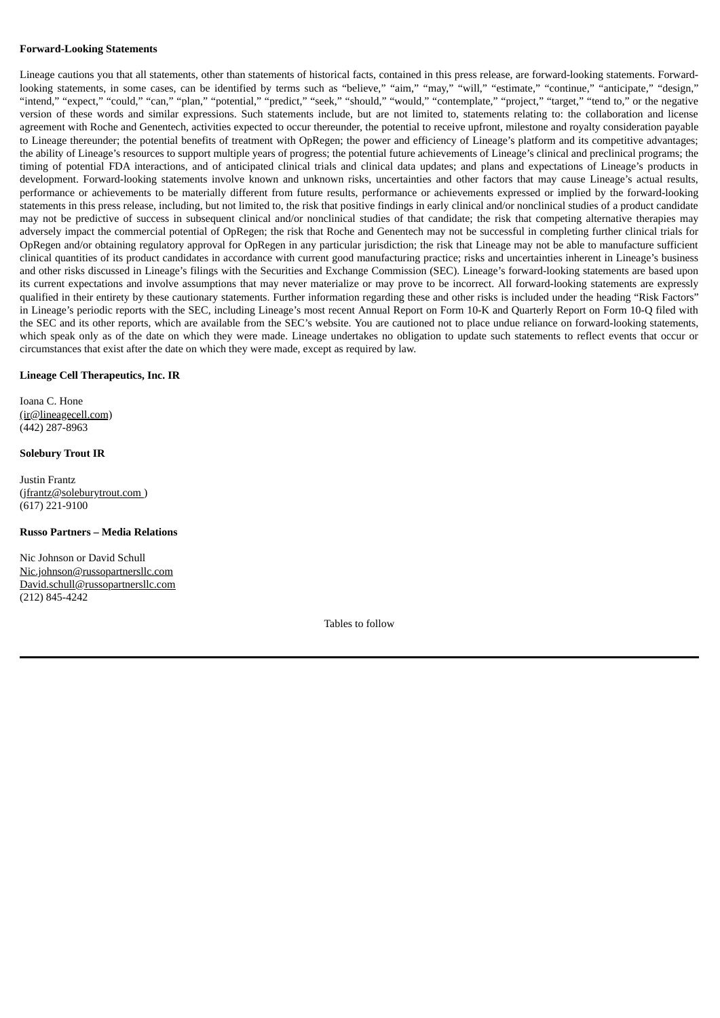#### **Forward-Looking Statements**

Lineage cautions you that all statements, other than statements of historical facts, contained in this press release, are forward-looking statements. Forwardlooking statements, in some cases, can be identified by terms such as "believe," "aim," "may," "will," "estimate," "continue," "anticipate," "design," "intend," "expect," "could," "can," "plan," "potential," "predict," "seek," "should," "would," "contemplate," "project," "target," "tend to," or the negative version of these words and similar expressions. Such statements include, but are not limited to, statements relating to: the collaboration and license agreement with Roche and Genentech, activities expected to occur thereunder, the potential to receive upfront, milestone and royalty consideration payable to Lineage thereunder; the potential benefits of treatment with OpRegen; the power and efficiency of Lineage's platform and its competitive advantages; the ability of Lineage's resources to support multiple years of progress; the potential future achievements of Lineage's clinical and preclinical programs; the timing of potential FDA interactions, and of anticipated clinical trials and clinical data updates; and plans and expectations of Lineage's products in development. Forward-looking statements involve known and unknown risks, uncertainties and other factors that may cause Lineage's actual results, performance or achievements to be materially different from future results, performance or achievements expressed or implied by the forward-looking statements in this press release, including, but not limited to, the risk that positive findings in early clinical and/or nonclinical studies of a product candidate may not be predictive of success in subsequent clinical and/or nonclinical studies of that candidate; the risk that competing alternative therapies may adversely impact the commercial potential of OpRegen; the risk that Roche and Genentech may not be successful in completing further clinical trials for OpRegen and/or obtaining regulatory approval for OpRegen in any particular jurisdiction; the risk that Lineage may not be able to manufacture sufficient clinical quantities of its product candidates in accordance with current good manufacturing practice; risks and uncertainties inherent in Lineage's business and other risks discussed in Lineage's filings with the Securities and Exchange Commission (SEC). Lineage's forward-looking statements are based upon its current expectations and involve assumptions that may never materialize or may prove to be incorrect. All forward-looking statements are expressly qualified in their entirety by these cautionary statements. Further information regarding these and other risks is included under the heading "Risk Factors" in Lineage's periodic reports with the SEC, including Lineage's most recent Annual Report on Form 10-K and Quarterly Report on Form 10-Q filed with the SEC and its other reports, which are available from the SEC's website. You are cautioned not to place undue reliance on forward-looking statements, which speak only as of the date on which they were made. Lineage undertakes no obligation to update such statements to reflect events that occur or circumstances that exist after the date on which they were made, except as required by law.

#### **Lineage Cell Therapeutics, Inc. IR**

Ioana C. Hone (ir@lineagecell.com) (442) 287-8963

#### **Solebury Trout IR**

Justin Frantz (jfrantz@soleburytrout.com) (617) 221-9100

#### **Russo Partners – Media Relations**

Nic Johnson or David Schull Nic.johnson@russopartnersllc.com David.schull@russopartnersllc.com (212) 845-4242

Tables to follow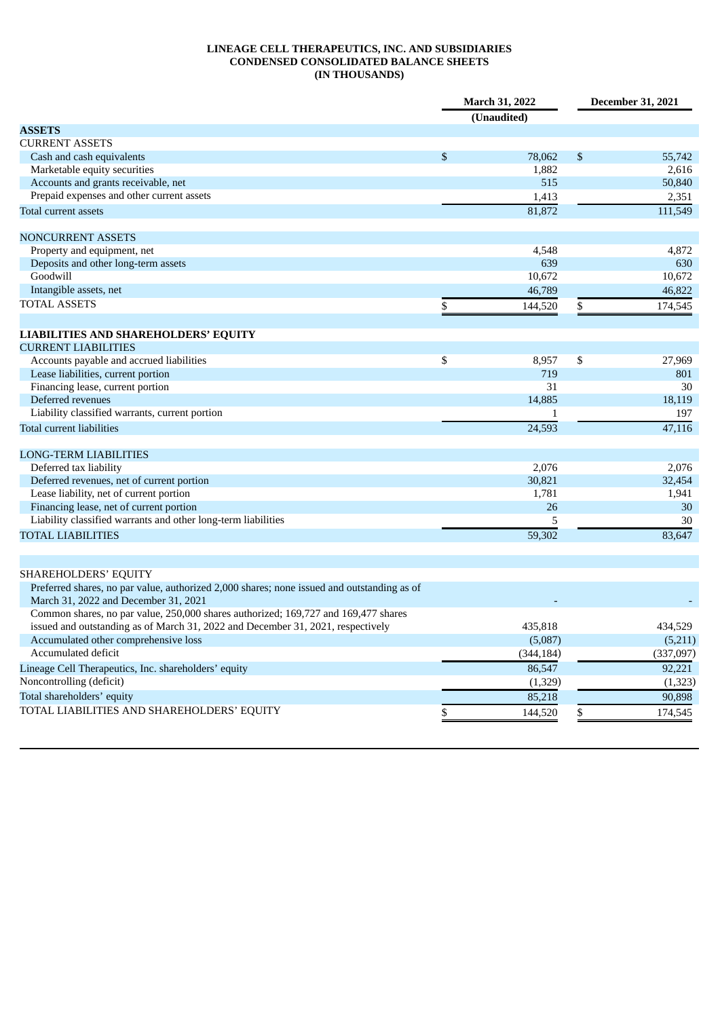# **LINEAGE CELL THERAPEUTICS, INC. AND SUBSIDIARIES CONDENSED CONSOLIDATED BALANCE SHEETS (IN THOUSANDS)**

|                                                                                                                                    |    | March 31, 2022<br>(Unaudited) | December 31, 2021 |           |
|------------------------------------------------------------------------------------------------------------------------------------|----|-------------------------------|-------------------|-----------|
| <b>ASSETS</b>                                                                                                                      |    |                               |                   |           |
| <b>CURRENT ASSETS</b>                                                                                                              |    |                               |                   |           |
| Cash and cash equivalents                                                                                                          | \$ | 78,062                        | \$                | 55,742    |
| Marketable equity securities                                                                                                       |    | 1,882                         |                   | 2,616     |
| Accounts and grants receivable, net                                                                                                |    | 515                           |                   | 50,840    |
| Prepaid expenses and other current assets                                                                                          |    | 1,413                         |                   | 2,351     |
| Total current assets                                                                                                               |    | 81,872                        |                   | 111,549   |
| <b>NONCURRENT ASSETS</b>                                                                                                           |    |                               |                   |           |
| Property and equipment, net                                                                                                        |    | 4,548                         |                   | 4,872     |
| Deposits and other long-term assets                                                                                                |    | 639                           |                   | 630       |
| Goodwill                                                                                                                           |    | 10,672                        |                   | 10,672    |
| Intangible assets, net                                                                                                             |    | 46,789                        |                   | 46,822    |
| <b>TOTAL ASSETS</b>                                                                                                                | \$ | 144,520                       | \$                | 174,545   |
| <b>LIABILITIES AND SHAREHOLDERS' EQUITY</b>                                                                                        |    |                               |                   |           |
| <b>CURRENT LIABILITIES</b>                                                                                                         |    |                               |                   |           |
| Accounts payable and accrued liabilities                                                                                           | \$ | 8,957                         | \$                | 27,969    |
| Lease liabilities, current portion                                                                                                 |    | 719                           |                   | 801       |
| Financing lease, current portion                                                                                                   |    | 31                            |                   | 30        |
| Deferred revenues                                                                                                                  |    | 14,885                        |                   | 18,119    |
| Liability classified warrants, current portion                                                                                     |    | 1                             |                   | 197       |
| <b>Total current liabilities</b>                                                                                                   |    | 24,593                        |                   | 47,116    |
| <b>LONG-TERM LIABILITIES</b>                                                                                                       |    |                               |                   |           |
| Deferred tax liability                                                                                                             |    | 2,076                         |                   | 2,076     |
| Deferred revenues, net of current portion                                                                                          |    | 30,821                        |                   | 32,454    |
| Lease liability, net of current portion                                                                                            |    | 1,781                         |                   | 1,941     |
| Financing lease, net of current portion                                                                                            |    | 26                            |                   | 30        |
| Liability classified warrants and other long-term liabilities                                                                      |    | 5                             |                   | 30        |
| <b>TOTAL LIABILITIES</b>                                                                                                           |    | 59,302                        |                   | 83,647    |
|                                                                                                                                    |    |                               |                   |           |
| <b>SHAREHOLDERS' EQUITY</b>                                                                                                        |    |                               |                   |           |
| Preferred shares, no par value, authorized 2,000 shares; none issued and outstanding as of<br>March 31, 2022 and December 31, 2021 |    |                               |                   |           |
| Common shares, no par value, 250,000 shares authorized; 169,727 and 169,477 shares                                                 |    |                               |                   |           |
| issued and outstanding as of March 31, 2022 and December 31, 2021, respectively                                                    |    | 435,818                       |                   | 434,529   |
| Accumulated other comprehensive loss                                                                                               |    | (5,087)                       |                   | (5,211)   |
| Accumulated deficit                                                                                                                |    | (344, 184)                    |                   | (337,097) |
| Lineage Cell Therapeutics, Inc. shareholders' equity                                                                               |    | 86,547                        |                   | 92,221    |
| Noncontrolling (deficit)                                                                                                           |    | (1, 329)                      |                   | (1, 323)  |
| Total shareholders' equity                                                                                                         |    | 85,218                        |                   | 90,898    |
| TOTAL LIABILITIES AND SHAREHOLDERS' EQUITY                                                                                         |    |                               |                   | 174,545   |
|                                                                                                                                    | \$ | 144,520                       | \$                |           |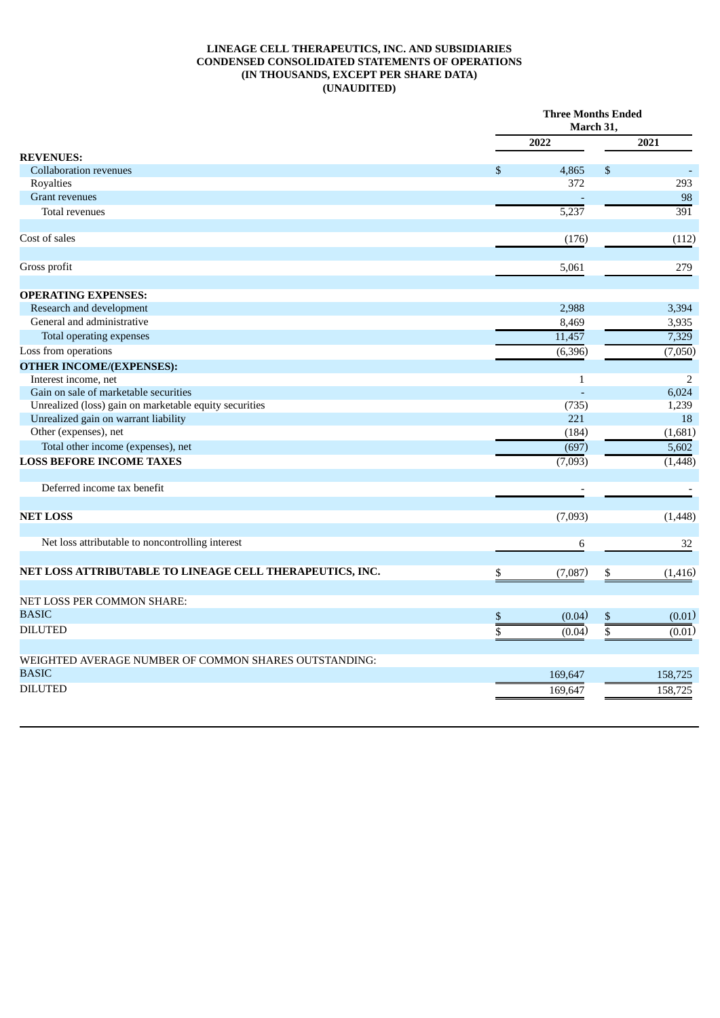### **LINEAGE CELL THERAPEUTICS, INC. AND SUBSIDIARIES CONDENSED CONSOLIDATED STATEMENTS OF OPERATIONS (IN THOUSANDS, EXCEPT PER SHARE DATA) (UNAUDITED)**

|                                                          |    | <b>Three Months Ended</b><br>March 31, |                         |                  |  |
|----------------------------------------------------------|----|----------------------------------------|-------------------------|------------------|--|
|                                                          |    | 2022                                   |                         | 2021             |  |
| <b>REVENUES:</b>                                         |    |                                        |                         |                  |  |
| <b>Collaboration revenues</b>                            | \$ | 4,865                                  | \$                      |                  |  |
| Royalties                                                |    | 372                                    |                         | 293              |  |
| <b>Grant revenues</b>                                    |    |                                        |                         | 98               |  |
| Total revenues                                           |    | 5,237                                  |                         | $\overline{391}$ |  |
| Cost of sales                                            |    | (176)                                  |                         | (112)            |  |
| Gross profit                                             |    | 5,061                                  |                         | 279              |  |
| <b>OPERATING EXPENSES:</b>                               |    |                                        |                         |                  |  |
| Research and development                                 |    | 2,988                                  |                         | 3,394            |  |
| General and administrative                               |    | 8,469                                  |                         | 3,935            |  |
| <b>Total operating expenses</b>                          |    | 11,457                                 |                         | 7,329            |  |
| Loss from operations                                     |    | (6, 396)                               |                         | (7,050)          |  |
| <b>OTHER INCOME/(EXPENSES):</b>                          |    |                                        |                         |                  |  |
| Interest income, net                                     |    | $\mathbf{1}$                           |                         | $\overline{2}$   |  |
| Gain on sale of marketable securities                    |    |                                        |                         | 6,024            |  |
| Unrealized (loss) gain on marketable equity securities   |    | (735)                                  |                         | 1,239            |  |
| Unrealized gain on warrant liability                     |    | 221                                    |                         | 18               |  |
| Other (expenses), net                                    |    | (184)                                  |                         | (1,681)          |  |
| Total other income (expenses), net                       |    | (697)                                  |                         | 5,602            |  |
| <b>LOSS BEFORE INCOME TAXES</b>                          |    | (7,093)                                |                         | (1, 448)         |  |
| Deferred income tax benefit                              |    | $\overline{\phantom{a}}$               |                         |                  |  |
| <b>NET LOSS</b>                                          |    | (7,093)                                |                         | (1, 448)         |  |
| Net loss attributable to noncontrolling interest         |    | 6                                      |                         | 32               |  |
| NET LOSS ATTRIBUTABLE TO LINEAGE CELL THERAPEUTICS, INC. | \$ | (7,087)                                | \$                      | (1, 416)         |  |
|                                                          |    |                                        |                         |                  |  |
| NET LOSS PER COMMON SHARE:                               |    |                                        |                         |                  |  |
| <b>BASIC</b>                                             | \$ | (0.04)                                 | \$                      | (0.01)           |  |
| <b>DILUTED</b>                                           | \$ | (0.04)                                 | $\overline{\mathbb{S}}$ | (0.01)           |  |
| WEIGHTED AVERAGE NUMBER OF COMMON SHARES OUTSTANDING:    |    |                                        |                         |                  |  |
| <b>BASIC</b>                                             |    | 169,647                                |                         | 158,725          |  |
| <b>DILUTED</b>                                           |    | 169,647                                |                         | 158,725          |  |